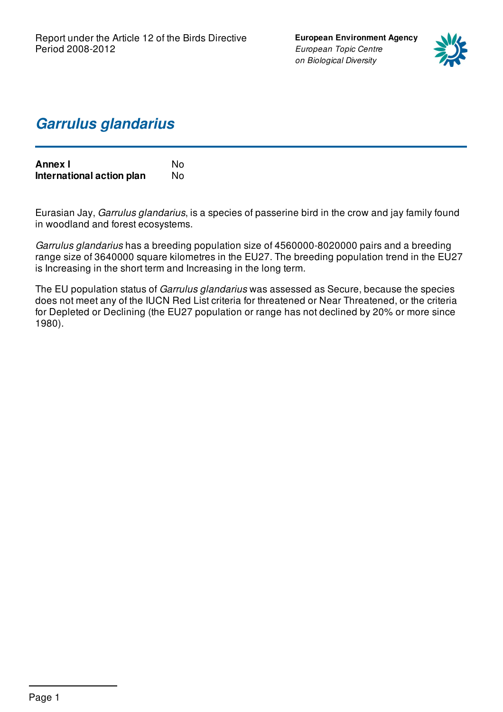**European Environment Agency** *European Topic Centre on Biological Diversity*



## *Garrulus glandarius*

| <b>Annex I</b>            | No. |
|---------------------------|-----|
| International action plan | N٥  |

Eurasian Jay, *Garrulus glandarius*, is a species of passerine bird in the crow and jay family found in woodland and forest ecosystems.

*Garrulus glandarius* has a breeding population size of 4560000-8020000 pairs and a breeding range size of 3640000 square kilometres in the EU27. The breeding population trend in the EU27 is Increasing in the short term and Increasing in the long term.

The EU population status of *Garrulus glandarius* was assessed as Secure, because the species does not meet any of the IUCN Red List criteria for threatened or Near Threatened, or the criteria for Depleted or Declining (the EU27 population or range has not declined by 20% or more since 1980).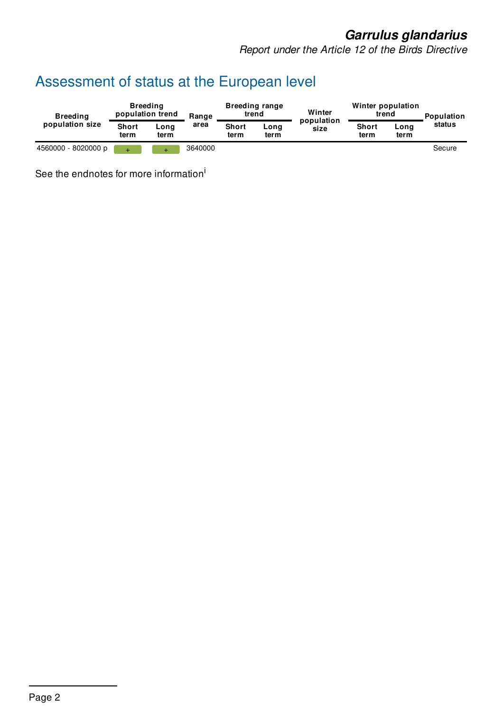*Report under the Article 12 of the Birds Directive*

# Assessment of status at the European level

| <b>Breeding</b><br>population size | <b>Breeding</b><br>population trend |              | Range   | <b>Breeding range</b><br>trend |              | Winter             | Winter population<br>trend |              | Population |
|------------------------------------|-------------------------------------|--------------|---------|--------------------------------|--------------|--------------------|----------------------------|--------------|------------|
|                                    | <b>Short</b><br>term                | Long<br>term | area    | <b>Short</b><br>term           | Long<br>term | population<br>size | <b>Short</b><br>term       | Long<br>term | status     |
| 4560000 - 8020000 p                |                                     | ÷            | 3640000 |                                |              |                    |                            |              | Secure     |

See the endnotes for more information<sup>i</sup>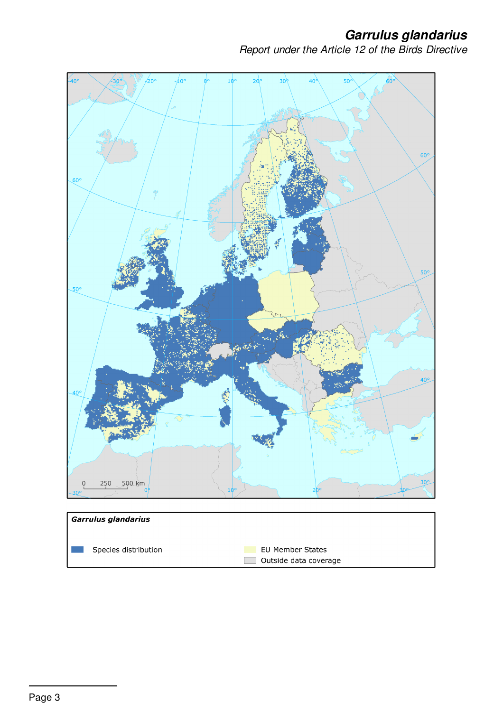*Report under the Article 12 of the Birds Directive*





Species distribution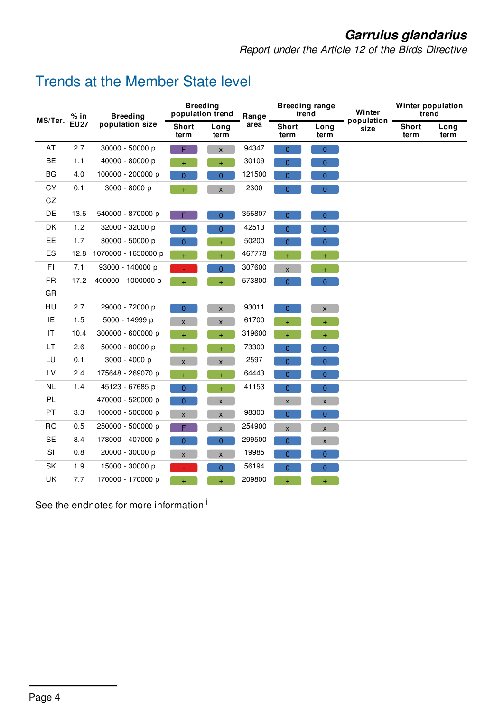*Report under the Article 12 of the Birds Directive*

### Trends at the Member State level

| MS/Ter.   | % in        | <b>Breeding</b><br>population size | <b>Breeding</b><br>population trend |                    | Range  | <b>Breeding range</b><br>trend |                    | Winter             | Winter population<br>trend |              |
|-----------|-------------|------------------------------------|-------------------------------------|--------------------|--------|--------------------------------|--------------------|--------------------|----------------------------|--------------|
|           | <b>EU27</b> |                                    | <b>Short</b><br>term                | Long<br>term       | area   | Short<br>term                  | Long<br>term       | population<br>size | <b>Short</b><br>term       | Long<br>term |
| AT        | 2.7         | 30000 - 50000 p                    | F.                                  | $\pmb{\mathsf{x}}$ | 94347  | $\overline{0}$                 | $\overline{0}$     |                    |                            |              |
| <b>BE</b> | 1.1         | 40000 - 80000 p                    | $+$                                 | $\ddot{}$          | 30109  | $\overline{0}$                 | $\overline{0}$     |                    |                            |              |
| BG        | 4.0         | 100000 - 200000 p                  | $\overline{0}$                      | $\mathbf{0}$       | 121500 | $\mathbf{0}$                   | $\overline{0}$     |                    |                            |              |
| CY        | 0.1         | 3000 - 8000 p                      | $\ddot{}$                           | $\mathsf X$        | 2300   | $\overline{0}$                 | $\mathbf 0$        |                    |                            |              |
| CZ        |             |                                    |                                     |                    |        |                                |                    |                    |                            |              |
| DE        | 13.6        | 540000 - 870000 p                  | F.                                  | $\boldsymbol{0}$   | 356807 | $\pmb{0}$                      | $\mathbf 0$        |                    |                            |              |
| DK        | 1.2         | 32000 - 32000 p                    | 0                                   | $\overline{0}$     | 42513  | $\overline{0}$                 | $\overline{0}$     |                    |                            |              |
| EE        | 1.7         | 30000 - 50000 p                    | 0                                   | $\ddot{}$          | 50200  | 0                              | $\overline{0}$     |                    |                            |              |
| ES        | 12.8        | 1070000 - 1650000 p                | $+$                                 | $\ddot{}$          | 467778 | $\ddot{}$                      | $\pm$              |                    |                            |              |
| FI        | 7.1         | 93000 - 140000 p                   |                                     | $\overline{0}$     | 307600 | $\mathsf{x}$                   | $+$                |                    |                            |              |
| <b>FR</b> | 17.2        | 400000 - 1000000 p                 | $\ddot{}$                           | $\ddot{}$          | 573800 | $\overline{0}$                 | $\pmb{0}$          |                    |                            |              |
| GR        |             |                                    |                                     |                    |        |                                |                    |                    |                            |              |
| HU        | 2.7         | 29000 - 72000 p                    | $\overline{0}$                      | $\pmb{\mathsf{x}}$ | 93011  | $\overline{0}$                 | $\mathsf X$        |                    |                            |              |
| IE        | 1.5         | 5000 - 14999 p                     | X                                   | $\pmb{\times}$     | 61700  | $\ddot{}$                      | $+$                |                    |                            |              |
| IT        | 10.4        | 300000 - 600000 p                  | $+$                                 | $\ddot{}$          | 319600 | $\ddot{}$                      | $+$                |                    |                            |              |
| LT        | 2.6         | 50000 - 80000 p                    | $+$                                 | $\ddot{}$          | 73300  | $\overline{0}$                 | $\mathbf 0$        |                    |                            |              |
| LU        | 0.1         | 3000 - 4000 p                      | $\mathsf{X}$                        | $\pmb{\times}$     | 2597   | $\overline{0}$                 | $\overline{0}$     |                    |                            |              |
| LV        | 2.4         | 175648 - 269070 p                  | Ŧ,                                  | $\ddot{}$          | 64443  | 0                              | $\pmb{0}$          |                    |                            |              |
| <b>NL</b> | 1.4         | 45123 - 67685 p                    | $\overline{0}$                      | $+$                | 41153  | $\overline{0}$                 | $\overline{0}$     |                    |                            |              |
| PL.       |             | 470000 - 520000 p                  | $\overline{0}$                      | $\pmb{\mathsf{X}}$ |        | $\mathsf X$                    | $\mathsf X$        |                    |                            |              |
| <b>PT</b> | 3.3         | 100000 - 500000 p                  | $\mathsf X$                         | $\pmb{\mathsf{X}}$ | 98300  | $\overline{0}$                 | $\pmb{0}$          |                    |                            |              |
| <b>RO</b> | 0.5         | 250000 - 500000 p                  | F                                   | $\mathsf{x}$       | 254900 | $\pmb{\mathsf{X}}$             | $\mathsf X$        |                    |                            |              |
| <b>SE</b> | 3.4         | 178000 - 407000 p                  | 0                                   | $\boldsymbol{0}$   | 299500 | $\overline{0}$                 | $\pmb{\mathsf{X}}$ |                    |                            |              |
| SI        | 0.8         | 20000 - 30000 p                    | X                                   | $\pmb{\times}$     | 19985  | $\overline{0}$                 | $\overline{0}$     |                    |                            |              |
| SK        | 1.9         | 15000 - 30000 p                    |                                     | $\boldsymbol{0}$   | 56194  | $\overline{0}$                 | $\mathbf{0}$       |                    |                            |              |
| UK        | 7.7         | 170000 - 170000 p                  | $+$                                 | $\ddot{}$          | 209800 | $\ddot{}$                      | $+$                |                    |                            |              |

See the endnotes for more information<sup>ii</sup>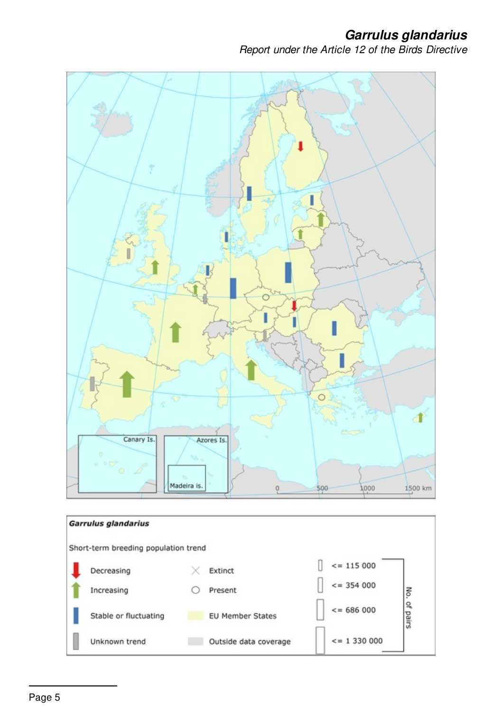*Report under the Article 12 of the Birds Directive*

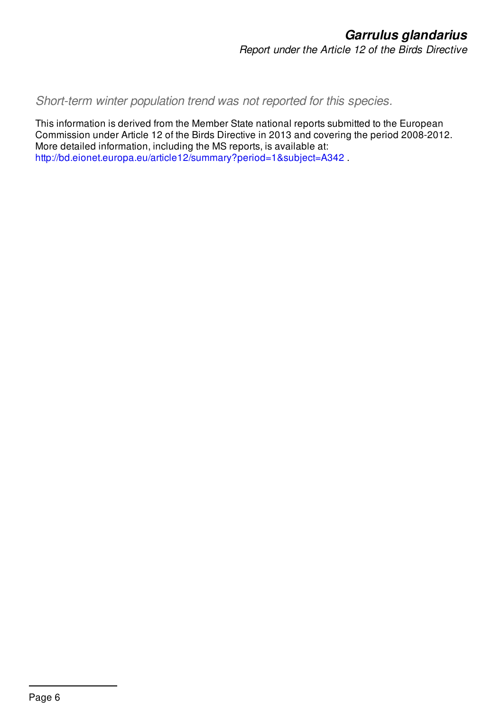*Short-term winter population trend was not reported for this species.*

This information is derived from the Member State national reports submitted to the European Commission under Article 12 of the Birds Directive in 2013 and covering the period 2008-2012. More detailed information, including the MS reports, is available at: <http://bd.eionet.europa.eu/article12/summary?period=1&subject=A342> .